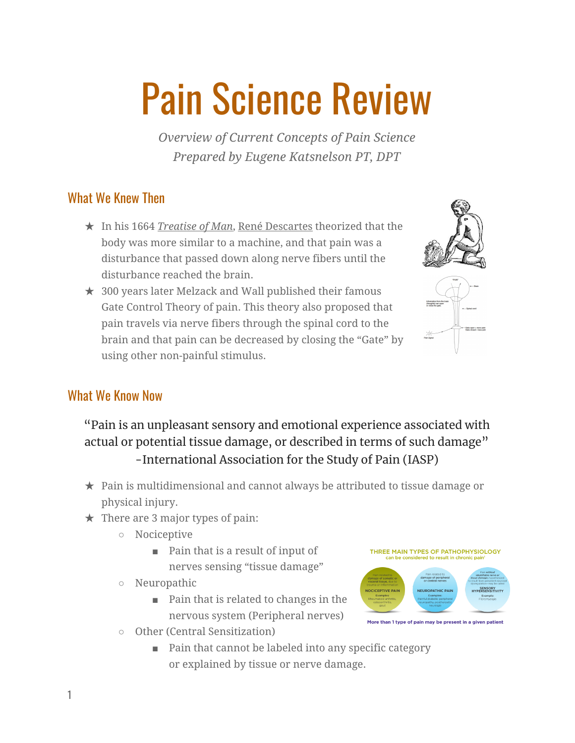# Pain Science Review

*Overview of Current Concepts of Pain Science Prepared by Eugene Katsnelson PT, DPT*

# What We Knew Then

- ★ In his 1664 *[Treatise](https://en.wikipedia.org/w/index.php?title=Treatise_of_Man&action=edit&redlink=1) of Man*, René [Descartes](https://en.wikipedia.org/wiki/Ren%C3%A9_Descartes) theorized that the body was more similar to a machine, and that pain was a disturbance that passed down along nerve fibers until the disturbance reached the brain.
- $\star$  300 years later Melzack and Wall published their famous Gate Control Theory of pain. This theory also proposed that pain travels via nerve fibers through the spinal cord to the brain and that pain can be decreased by closing the "Gate" by using other non-painful stimulus.





#### What We Know Now

# "Pain is an unpleasant sensory and emotional experience associated with actual or potential tissue damage, or described in terms of such damage" -International Association for the Study of Pain (IASP)

- ★ Pain is multidimensional and cannot always be attributed to tissue damage or physical injury.
- $\star$  There are 3 major types of pain:
	- Nociceptive
		- Pain that is a result of input of nerves sensing "tissue damage"
	- Neuropathic
		- Pain that is related to changes in the nervous system (Peripheral nerves)



- Other (Central Sensitization)
	- Pain that cannot be labeled into any specific category or explained by tissue or nerve damage.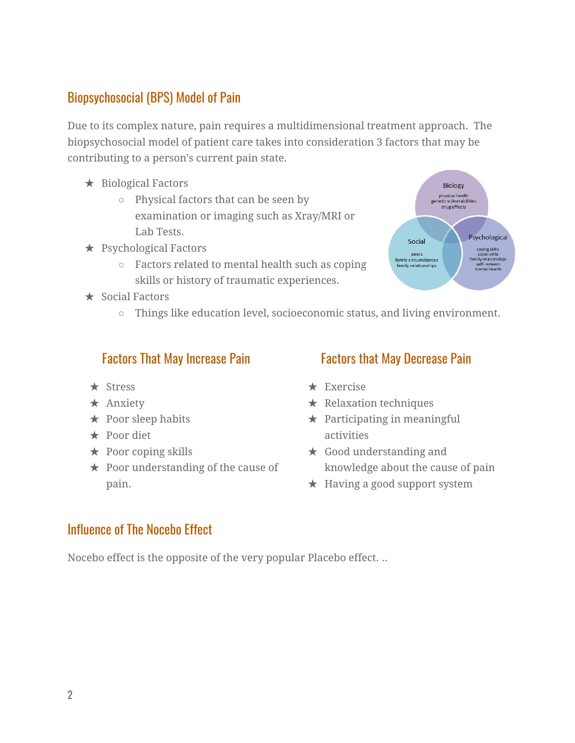# Biopsychosocial (BPS) Model of Pain

Due to its complex nature, pain requires a multidimensional treatment approach. The biopsychosocial model of patient care takes into consideration 3 factors that may be contributing to a person's current pain state.

- ★ Biological Factors
	- Physical factors that can be seen by examination or imaging such as Xray/MRI or Lab Tests.
- $\star$  Psychological Factors
	- Factors related to mental health such as coping skills or history of traumatic experiences.
- $\star$  Social Factors
	- Things like education level, socioeconomic status, and living environment.

#### Factors That May Increase Pain

- ★ Stress
- ★ Anxiety
- $\star$  Poor sleep habits
- ★ Poor diet
- $\star$  Poor coping skills
- $\star$  Poor understanding of the cause of pain.

#### Factors that May Decrease Pain

Social

peers family circumstances

Biology physical health genetic vulnerabilities<br>drug effects

Psychological

coping skills<br>social skills<br>family relationships<br>self - esteem<br>mental health

- ★ Exercise
- $\star$  Relaxation techniques
- $\star$  Participating in meaningful activities
- ★ Good understanding and knowledge about the cause of pain
- ★ Having a good support system

#### Influence of The Nocebo Effect

Nocebo effect is the opposite of the very popular Placebo effect. ..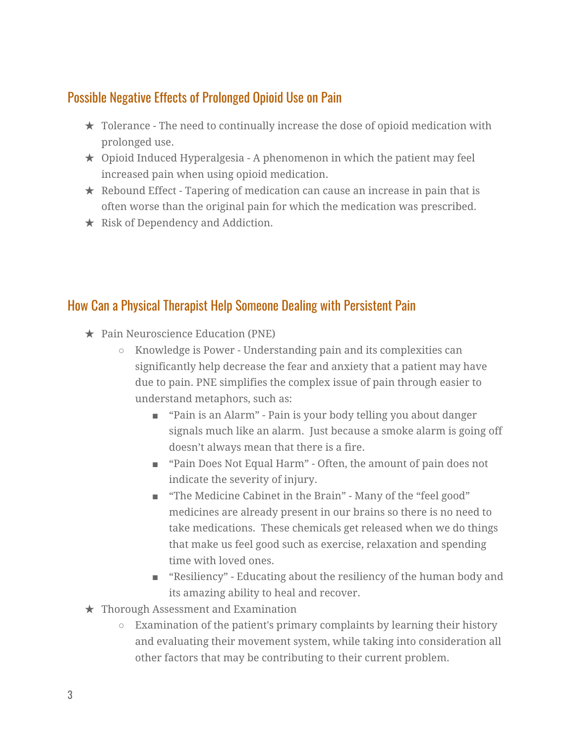# Possible Negative Effects of Prolonged Opioid Use on Pain

- ★ Tolerance The need to continually increase the dose of opioid medication with prolonged use.
- $\star$  Opioid Induced Hyperalgesia A phenomenon in which the patient may feel increased pain when using opioid medication.
- $\star$  Rebound Effect Tapering of medication can cause an increase in pain that is often worse than the original pain for which the medication was prescribed.
- $\star$  Risk of Dependency and Addiction.

# How Can a Physical Therapist Help Someone Dealing with Persistent Pain

- ★ Pain Neuroscience Education (PNE)
	- Knowledge is Power Understanding pain and its complexities can significantly help decrease the fear and anxiety that a patient may have due to pain. PNE simplifies the complex issue of pain through easier to understand metaphors, such as:
		- "Pain is an Alarm" Pain is your body telling you about danger signals much like an alarm. Just because a smoke alarm is going off doesn't always mean that there is a fire.
		- "Pain Does Not Equal Harm" Often, the amount of pain does not indicate the severity of injury.
		- "The Medicine Cabinet in the Brain" Many of the "feel good" medicines are already present in our brains so there is no need to take medications. These chemicals get released when we do things that make us feel good such as exercise, relaxation and spending time with loved ones.
		- "Resiliency" Educating about the resiliency of the human body and its amazing ability to heal and recover.
- ★ Thorough Assessment and Examination
	- Examination of the patient's primary complaints by learning their history and evaluating their movement system, while taking into consideration all other factors that may be contributing to their current problem.